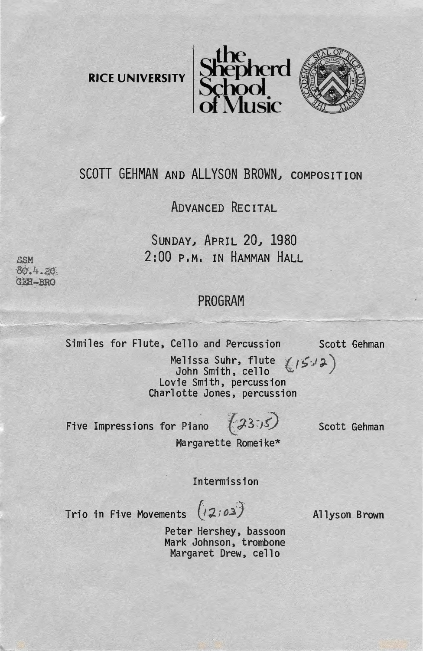**RICE UNIVERSITY** 





## SCOTT GEHMAN AND ALLYSON BROWN, COMPOSITION

## ADVANCED RECITAL

SUNDAY) APRIL *20)* 1980 2:00 P.M. IN HAMMAN HALL

## PROGRAM --~

Similes for Flute, Cello and Percussion Scott Gehman

Melissa Suhr, flute  $(5.12)$ John Smith, cello<br>Lovie Smith, percussion Charlotte Jones, percussion

Five Impressions for Piano  $(3355)$ 

Scott Gehman

Margarette Romeike\*

Intermission

Trio in Five Movements (12:03)

Allyson Brown

Peter Hershey, bassoon Mark Johnson, trombone Margaret Drew, cello

S.SM  $80.4.20$  $GEE - BRO$